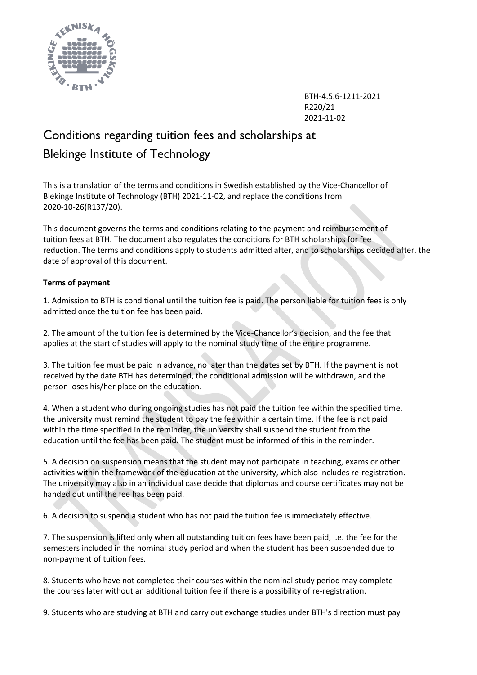

BTH-4.5.6-1211-2021 R220/21 2021-11-02

# Conditions regarding tuition fees and scholarships at Blekinge Institute of Technology

This is a translation of the terms and conditions in Swedish established by the Vice-Chancellor of Blekinge Institute of Technology (BTH) 2021-11-02, and replace the conditions from 2020-10-26(R137/20).

This document governs the terms and conditions relating to the payment and reimbursement of tuition fees at BTH. The document also regulates the conditions for BTH scholarships for fee reduction. The terms and conditions apply to students admitted after, and to scholarships decided after, the date of approval of this document.

## **Terms of payment**

1. Admission to BTH is conditional until the tuition fee is paid. The person liable for tuition fees is only admitted once the tuition fee has been paid.

2. The amount of the tuition fee is determined by the Vice-Chancellor's decision, and the fee that applies at the start of studies will apply to the nominal study time of the entire programme.

3. The tuition fee must be paid in advance, no later than the dates set by BTH. If the payment is not received by the date BTH has determined, the conditional admission will be withdrawn, and the person loses his/her place on the education.

4. When a student who during ongoing studies has not paid the tuition fee within the specified time, the university must remind the student to pay the fee within a certain time. If the fee is not paid within the time specified in the reminder, the university shall suspend the student from the education until the fee has been paid. The student must be informed of this in the reminder.

5. A decision on suspension means that the student may not participate in teaching, exams or other activities within the framework of the education at the university, which also includes re-registration. The university may also in an individual case decide that diplomas and course certificates may not be handed out until the fee has been paid.

6. A decision to suspend a student who has not paid the tuition fee is immediately effective.

7. The suspension is lifted only when all outstanding tuition fees have been paid, i.e. the fee for the semesters included in the nominal study period and when the student has been suspended due to non-payment of tuition fees.

8. Students who have not completed their courses within the nominal study period may complete the courses later without an additional tuition fee if there is a possibility of re-registration.

9. Students who are studying at BTH and carry out exchange studies under BTH's direction must pay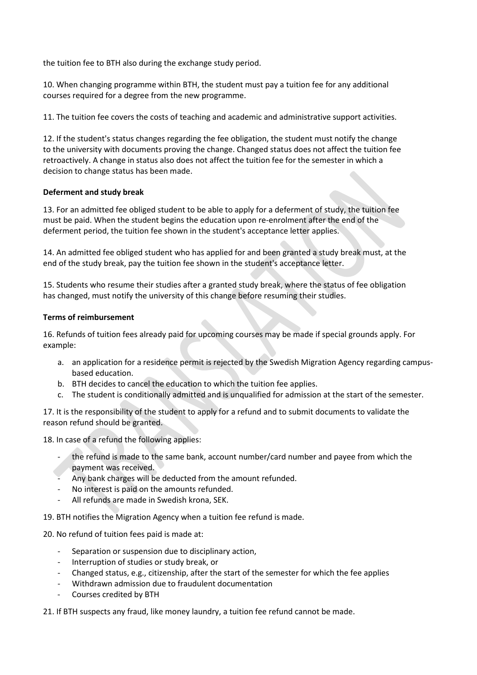the tuition fee to BTH also during the exchange study period.

10. When changing programme within BTH, the student must pay a tuition fee for any additional courses required for a degree from the new programme.

11. The tuition fee covers the costs of teaching and academic and administrative support activities.

12. If the student's status changes regarding the fee obligation, the student must notify the change to the university with documents proving the change. Changed status does not affect the tuition fee retroactively. A change in status also does not affect the tuition fee for the semester in which a decision to change status has been made.

### **Deferment and study break**

13. For an admitted fee obliged student to be able to apply for a deferment of study, the tuition fee must be paid. When the student begins the education upon re-enrolment after the end of the deferment period, the tuition fee shown in the student's acceptance letter applies.

14. An admitted fee obliged student who has applied for and been granted a study break must, at the end of the study break, pay the tuition fee shown in the student's acceptance letter.

15. Students who resume their studies after a granted study break, where the status of fee obligation has changed, must notify the university of this change before resuming their studies.

### **Terms of reimbursement**

16. Refunds of tuition fees already paid for upcoming courses may be made if special grounds apply. For example:

- a. an application for a residence permit is rejected by the Swedish Migration Agency regarding campusbased education.
- b. BTH decides to cancel the education to which the tuition fee applies.
- c. The student is conditionally admitted and is unqualified for admission at the start of the semester.

17. It is the responsibility of the student to apply for a refund and to submit documents to validate the reason refund should be granted.

18. In case of a refund the following applies:

- the refund is made to the same bank, account number/card number and payee from which the payment was received.
- Any bank charges will be deducted from the amount refunded.
- No interest is paid on the amounts refunded.
- All refunds are made in Swedish krona, SEK.

19. BTH notifies the Migration Agency when a tuition fee refund is made.

20. No refund of tuition fees paid is made at:

- Separation or suspension due to disciplinary action,
- Interruption of studies or study break, or
- Changed status, e.g., citizenship, after the start of the semester for which the fee applies
- Withdrawn admission due to fraudulent documentation
- Courses credited by BTH

21. If BTH suspects any fraud, like money laundry, a tuition fee refund cannot be made.